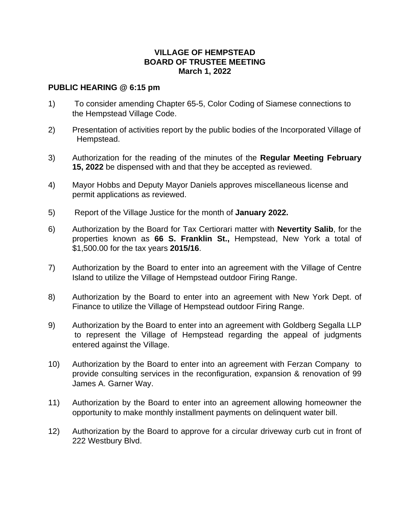## **VILLAGE OF HEMPSTEAD BOARD OF TRUSTEE MEETING March 1, 2022**

## **PUBLIC HEARING @ 6:15 pm**

- 1) To consider amending Chapter 65-5, Color Coding of Siamese connections to the Hempstead Village Code.
- 2) Presentation of activities report by the public bodies of the Incorporated Village of Hempstead.
- 3) Authorization for the reading of the minutes of the **Regular Meeting February 15, 2022** be dispensed with and that they be accepted as reviewed.
- 4) Mayor Hobbs and Deputy Mayor Daniels approves miscellaneous license and permit applications as reviewed.
- 5) Report of the Village Justice for the month of **January 2022.**
- 6) Authorization by the Board for Tax Certiorari matter with **Nevertity Salib**, for the properties known as **66 S. Franklin St.,** Hempstead, New York a total of \$1,500.00 for the tax years **2015/16**.
- 7) Authorization by the Board to enter into an agreement with the Village of Centre Island to utilize the Village of Hempstead outdoor Firing Range.
- 8) Authorization by the Board to enter into an agreement with New York Dept. of Finance to utilize the Village of Hempstead outdoor Firing Range.
- 9) Authorization by the Board to enter into an agreement with Goldberg Segalla LLP to represent the Village of Hempstead regarding the appeal of judgments entered against the Village.
- 10) Authorization by the Board to enter into an agreement with Ferzan Company to provide consulting services in the reconfiguration, expansion & renovation of 99 James A. Garner Way.
- 11) Authorization by the Board to enter into an agreement allowing homeowner the opportunity to make monthly installment payments on delinquent water bill.
- 12) Authorization by the Board to approve for a circular driveway curb cut in front of 222 Westbury Blvd.